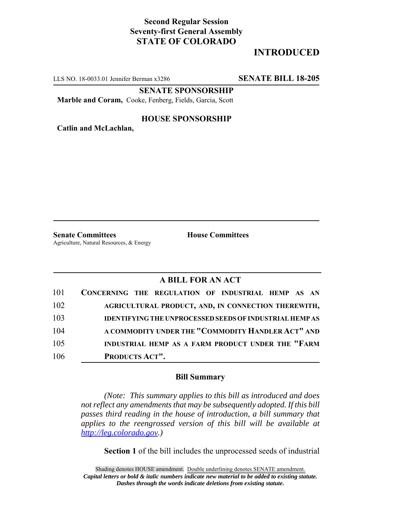## **Second Regular Session Seventy-first General Assembly STATE OF COLORADO**

# **INTRODUCED**

LLS NO. 18-0033.01 Jennifer Berman x3286 **SENATE BILL 18-205**

**SENATE SPONSORSHIP**

**Marble and Coram,** Cooke, Fenberg, Fields, Garcia, Scott

#### **HOUSE SPONSORSHIP**

**Catlin and McLachlan,**

**Senate Committees House Committees** Agriculture, Natural Resources, & Energy

### **A BILL FOR AN ACT**

| 101 | CONCERNING THE REGULATION OF INDUSTRIAL HEMP AS AN             |
|-----|----------------------------------------------------------------|
| 102 | AGRICULTURAL PRODUCT, AND, IN CONNECTION THEREWITH,            |
| 103 | <b>IDENTIFYING THE UNPROCESSED SEEDS OF INDUSTRIAL HEMP AS</b> |
| 104 | A COMMODITY UNDER THE "COMMODITY HANDLER ACT" AND              |
| 105 | INDUSTRIAL HEMP AS A FARM PRODUCT UNDER THE "FARM              |
| 106 | PRODUCTS ACT".                                                 |

#### **Bill Summary**

*(Note: This summary applies to this bill as introduced and does not reflect any amendments that may be subsequently adopted. If this bill passes third reading in the house of introduction, a bill summary that applies to the reengrossed version of this bill will be available at http://leg.colorado.gov.)*

**Section 1** of the bill includes the unprocessed seeds of industrial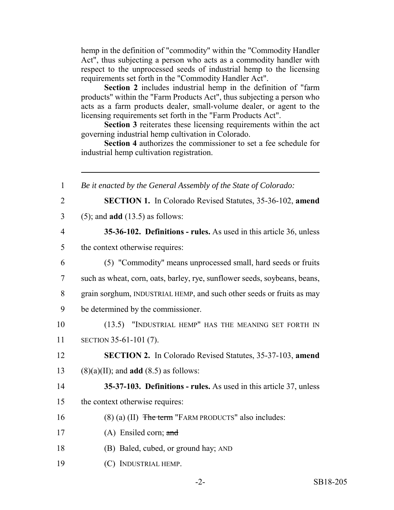hemp in the definition of "commodity" within the "Commodity Handler Act", thus subjecting a person who acts as a commodity handler with respect to the unprocessed seeds of industrial hemp to the licensing requirements set forth in the "Commodity Handler Act".

**Section 2** includes industrial hemp in the definition of "farm products" within the "Farm Products Act", thus subjecting a person who acts as a farm products dealer, small-volume dealer, or agent to the licensing requirements set forth in the "Farm Products Act".

**Section 3** reiterates these licensing requirements within the act governing industrial hemp cultivation in Colorado.

**Section 4** authorizes the commissioner to set a fee schedule for industrial hemp cultivation registration.

| $\mathbf{1}$   | Be it enacted by the General Assembly of the State of Colorado:           |
|----------------|---------------------------------------------------------------------------|
| $\overline{2}$ | <b>SECTION 1.</b> In Colorado Revised Statutes, 35-36-102, amend          |
| 3              | $(5)$ ; and <b>add</b> $(13.5)$ as follows:                               |
| $\overline{4}$ | 35-36-102. Definitions - rules. As used in this article 36, unless        |
| 5              | the context otherwise requires:                                           |
| 6              | (5) "Commodity" means unprocessed small, hard seeds or fruits             |
| 7              | such as wheat, corn, oats, barley, rye, sunflower seeds, soybeans, beans, |
| 8              | grain sorghum, INDUSTRIAL HEMP, and such other seeds or fruits as may     |
| 9              | be determined by the commissioner.                                        |
| 10             | (13.5) "INDUSTRIAL HEMP" HAS THE MEANING SET FORTH IN                     |
| 11             | SECTION 35-61-101 (7).                                                    |
| 12             | <b>SECTION 2.</b> In Colorado Revised Statutes, 35-37-103, amend          |
| 13             | $(8)(a)(II)$ ; and <b>add</b> $(8.5)$ as follows:                         |
| 14             | 35-37-103. Definitions - rules. As used in this article 37, unless        |
| 15             | the context otherwise requires:                                           |
| 16             | $(8)$ (a) (II) The term "FARM PRODUCTS" also includes:                    |
| 17             | $(A)$ Ensiled corn; and                                                   |
| 18             | (B) Baled, cubed, or ground hay; AND                                      |
| 19             | (C) INDUSTRIAL HEMP.                                                      |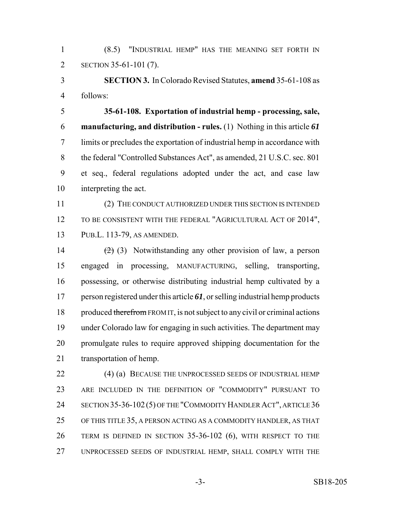(8.5) "INDUSTRIAL HEMP" HAS THE MEANING SET FORTH IN SECTION 35-61-101 (7).

 **SECTION 3.** In Colorado Revised Statutes, **amend** 35-61-108 as follows:

 **35-61-108. Exportation of industrial hemp - processing, sale, manufacturing, and distribution - rules.** (1) Nothing in this article *61* limits or precludes the exportation of industrial hemp in accordance with 8 the federal "Controlled Substances Act", as amended, 21 U.S.C. sec. 801 et seq., federal regulations adopted under the act, and case law interpreting the act.

 (2) THE CONDUCT AUTHORIZED UNDER THIS SECTION IS INTENDED 12 TO BE CONSISTENT WITH THE FEDERAL "AGRICULTURAL ACT OF 2014", PUB.L. 113-79, AS AMENDED.

 $(2)$  (3) Notwithstanding any other provision of law, a person engaged in processing, MANUFACTURING, selling, transporting, possessing, or otherwise distributing industrial hemp cultivated by a person registered under this article *61*, or selling industrial hemp products 18 produced therefrom FROM IT, is not subject to any civil or criminal actions under Colorado law for engaging in such activities. The department may promulgate rules to require approved shipping documentation for the transportation of hemp.

 (4) (a) BECAUSE THE UNPROCESSED SEEDS OF INDUSTRIAL HEMP ARE INCLUDED IN THE DEFINITION OF "COMMODITY" PURSUANT TO SECTION 35-36-102 (5) OF THE "COMMODITY HANDLER ACT", ARTICLE 36 OF THIS TITLE 35, A PERSON ACTING AS A COMMODITY HANDLER, AS THAT TERM IS DEFINED IN SECTION 35-36-102 (6), WITH RESPECT TO THE UNPROCESSED SEEDS OF INDUSTRIAL HEMP, SHALL COMPLY WITH THE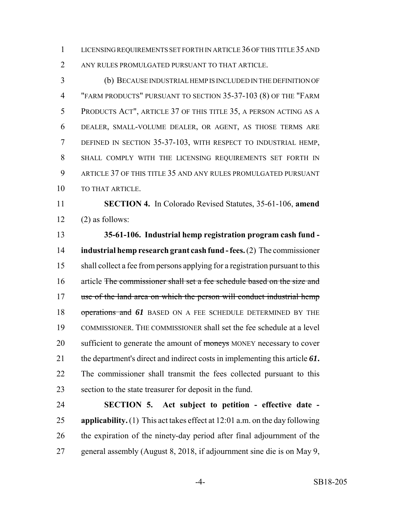LICENSING REQUIREMENTS SET FORTH IN ARTICLE 36 OF THIS TITLE 35 AND ANY RULES PROMULGATED PURSUANT TO THAT ARTICLE.

 (b) BECAUSE INDUSTRIAL HEMP IS INCLUDED IN THE DEFINITION OF "FARM PRODUCTS" PURSUANT TO SECTION 35-37-103 (8) OF THE "FARM PRODUCTS ACT", ARTICLE 37 OF THIS TITLE 35, A PERSON ACTING AS A DEALER, SMALL-VOLUME DEALER, OR AGENT, AS THOSE TERMS ARE DEFINED IN SECTION 35-37-103, WITH RESPECT TO INDUSTRIAL HEMP, SHALL COMPLY WITH THE LICENSING REQUIREMENTS SET FORTH IN ARTICLE 37 OF THIS TITLE 35 AND ANY RULES PROMULGATED PURSUANT 10 TO THAT ARTICLE.

 **SECTION 4.** In Colorado Revised Statutes, 35-61-106, **amend**  $12 \qquad (2)$  as follows:

 **35-61-106. Industrial hemp registration program cash fund - industrial hemp research grant cash fund - fees.** (2) The commissioner shall collect a fee from persons applying for a registration pursuant to this 16 article <del>The commissioner shall set a fee schedule based on the size and</del> 17 use of the land area on which the person will conduct industrial hemp 18 operations and 61 BASED ON A FEE SCHEDULE DETERMINED BY THE COMMISSIONER. THE COMMISSIONER shall set the fee schedule at a level 20 sufficient to generate the amount of moneys MONEY necessary to cover the department's direct and indirect costs in implementing this article *61***.** The commissioner shall transmit the fees collected pursuant to this section to the state treasurer for deposit in the fund.

 **SECTION 5. Act subject to petition - effective date - applicability.** (1) This act takes effect at 12:01 a.m. on the day following the expiration of the ninety-day period after final adjournment of the general assembly (August 8, 2018, if adjournment sine die is on May 9,